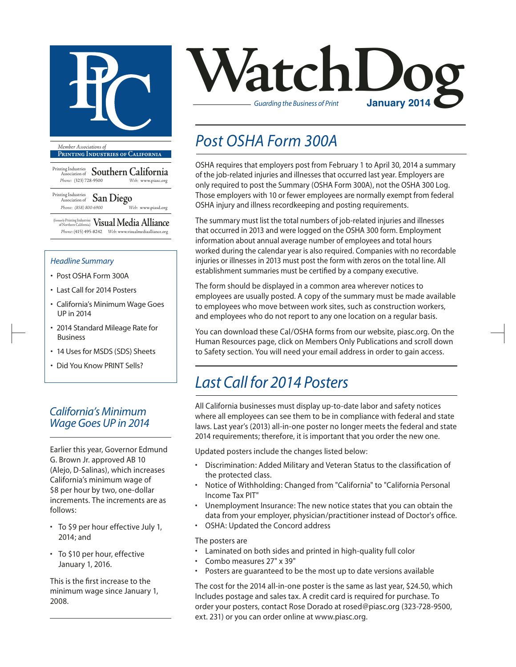

**Printing Industries of California**

Printing Industries Association of **Southern California** *Phone:* (323) 728-9500 *Web:* www.piasc.org

Printing Industries Association of **San Diego** *Phone: (858) 800-6900 Web:* www.piasd.org

(formerly Printing Industries of Northern California) **Visual Media Alliance** *Phone:* (415) 495-8242 *Web:* www.visualmediaalliance.org

#### *Headline Summary*

- Post OSHA Form 300A
- Last Call for 2014 Posters
- California's Minimum Wage Goes UP in 2014
- 2014 Standard Mileage Rate for Business
- 14 Uses for MSDS (SDS) Sheets
- Did You Know PRINT Sells?

### *California's Minimum Wage Goes UP in 2014*

Earlier this year, Governor Edmund G. Brown Jr. approved AB 10 (Alejo, D-Salinas), which increases California's minimum wage of \$8 per hour by two, one-dollar increments. The increments are as follows:

- • To \$9 per hour effective July 1, 2014; and
- To \$10 per hour, effective January 1, 2016.

This is the first increase to the minimum wage since January 1, 2008.



### *Post OSHA Form 300A*

OSHA requires that employers post from February 1 to April 30, 2014 a summary of the job-related injuries and illnesses that occurred last year. Employers are only required to post the Summary (OSHA Form 300A), not the OSHA 300 Log. Those employers with 10 or fewer employees are normally exempt from federal OSHA injury and illness recordkeeping and posting requirements.

The summary must list the total numbers of job-related injuries and illnesses that occurred in 2013 and were logged on the OSHA 300 form. Employment information about annual average number of employees and total hours worked during the calendar year is also required. Companies with no recordable injuries or illnesses in 2013 must post the form with zeros on the total line. All establishment summaries must be certified by a company executive.

The form should be displayed in a common area wherever notices to employees are usually posted. A copy of the summary must be made available to employees who move between work sites, such as construction workers, and employees who do not report to any one location on a regular basis.

You can download these Cal/OSHA forms from our website, piasc.org. On the Human Resources page, click on Members Only Publications and scroll down to Safety section. You will need your email address in order to gain access.

### *Last Call for 2014 Posters*

All California businesses must display up-to-date labor and safety notices where all employees can see them to be in compliance with federal and state laws. Last year's (2013) all-in-one poster no longer meets the federal and state 2014 requirements; therefore, it is important that you order the new one.

Updated posters include the changes listed below:

- • Discrimination: Added Military and Veteran Status to the classification of the protected class.
- Notice of Withholding: Changed from "California" to "California Personal Income Tax PIT"
- Unemployment Insurance: The new notice states that you can obtain the data from your employer, physician/practitioner instead of Doctor's office.
- • OSHA: Updated the Concord address

#### The posters are

- Laminated on both sides and printed in high-quality full color
- Combo measures 27" x 39"
- Posters are quaranteed to be the most up to date versions available

The cost for the 2014 all-in-one poster is the same as last year, \$24.50, which Includes postage and sales tax. A credit card is required for purchase. To order your posters, contact Rose Dorado at rosed@piasc.org (323-728-9500, ext. 231) or you can order online at www.piasc.org.